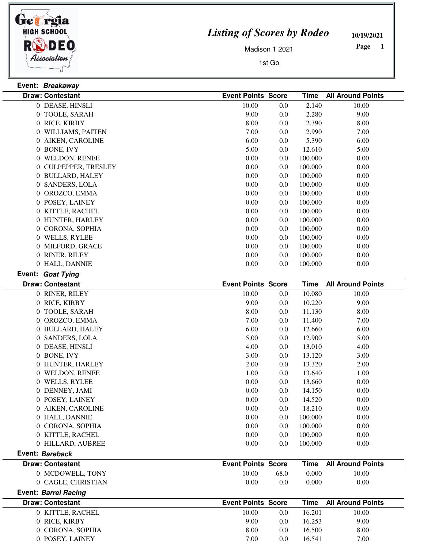

**Event: Breakaway**

## *Listing of Scores by Rodeo*

**10/19/2021**

Madison 1 2021

1st Go

 **Page** 

|                 | <b>Draw: Contestant</b> | <b>Event Points Score</b> |      | <b>Time</b> | <b>All Around Points</b> |
|-----------------|-------------------------|---------------------------|------|-------------|--------------------------|
|                 | 0 DEASE, HINSLI         | 10.00                     | 0.0  | 2.140       | 10.00                    |
|                 | 0 TOOLE, SARAH          | 9.00                      | 0.0  | 2.280       | 9.00                     |
|                 | 0 RICE, KIRBY           | 8.00                      | 0.0  | 2.390       | 8.00                     |
|                 | 0 WILLIAMS, PAITEN      | 7.00                      | 0.0  | 2.990       | 7.00                     |
|                 | 0 AIKEN, CAROLINE       | 6.00                      | 0.0  | 5.390       | 6.00                     |
|                 | 0 BONE, IVY             | 5.00                      | 0.0  | 12.610      | 5.00                     |
|                 | 0 WELDON, RENEE         | 0.00                      | 0.0  | 100.000     | 0.00                     |
|                 | 0 CULPEPPER, TRESLEY    | 0.00                      | 0.0  | 100.000     | 0.00                     |
|                 | 0 BULLARD, HALEY        | 0.00                      | 0.0  | 100.000     | 0.00                     |
|                 | 0 SANDERS, LOLA         | 0.00                      | 0.0  | 100.000     | 0.00                     |
|                 | 0 OROZCO, EMMA          | 0.00                      | 0.0  | 100.000     | 0.00                     |
|                 | 0 POSEY, LAINEY         | 0.00                      | 0.0  | 100.000     | 0.00                     |
|                 | 0 KITTLE, RACHEL        | 0.00                      | 0.0  | 100.000     | 0.00                     |
|                 | 0 HUNTER, HARLEY        | 0.00                      | 0.0  | 100.000     | 0.00                     |
|                 | 0 CORONA, SOPHIA        | $0.00\,$                  | 0.0  | 100.000     | 0.00                     |
|                 | 0 WELLS, RYLEE          | $0.00\,$                  | 0.0  | 100.000     | 0.00                     |
|                 | 0 MILFORD, GRACE        | 0.00                      | 0.0  | 100.000     | 0.00                     |
|                 | 0 RINER, RILEY          | 0.00                      | 0.0  | 100.000     | 0.00                     |
|                 | 0 HALL, DANNIE          | 0.00                      | 0.0  | 100.000     | 0.00                     |
|                 | Event: Goat Tying       |                           |      |             |                          |
|                 | <b>Draw: Contestant</b> | <b>Event Points Score</b> |      | <b>Time</b> | <b>All Around Points</b> |
|                 | 0 RINER, RILEY          | 10.00                     | 0.0  | 10.080      | 10.00                    |
|                 | 0 RICE, KIRBY           | 9.00                      | 0.0  | 10.220      | 9.00                     |
|                 | 0 TOOLE, SARAH          | 8.00                      | 0.0  | 11.130      | 8.00                     |
|                 | 0 OROZCO, EMMA          | 7.00                      | 0.0  | 11.400      | 7.00                     |
|                 | 0 BULLARD, HALEY        | 6.00                      | 0.0  | 12.660      | 6.00                     |
|                 | 0 SANDERS, LOLA         | 5.00                      | 0.0  | 12.900      | 5.00                     |
|                 | 0 DEASE, HINSLI         | 4.00                      | 0.0  | 13.010      | 4.00                     |
|                 | 0 BONE, IVY             | 3.00                      | 0.0  | 13.120      | 3.00                     |
|                 | 0 HUNTER, HARLEY        | 2.00                      | 0.0  | 13.320      | 2.00                     |
|                 | 0 WELDON, RENEE         | 1.00                      | 0.0  | 13.640      | 1.00                     |
|                 | 0 WELLS, RYLEE          | 0.00                      | 0.0  | 13.660      | 0.00                     |
|                 | 0 DENNEY, JAMI          | 0.00                      | 0.0  | 14.150      | 0.00                     |
|                 | 0 POSEY, LAINEY         | 0.00                      | 0.0  | 14.520      | 0.00                     |
|                 | 0 AIKEN, CAROLINE       | 0.00                      | 0.0  | 18.210      | 0.00                     |
|                 | 0 HALL, DANNIE          | 0.00                      | 0.0  | 100.000     | 0.00                     |
|                 | 0 CORONA, SOPHIA        | 0.00                      | 0.0  | 100.000     | 0.00                     |
|                 | 0 KITTLE, RACHEL        | 0.00                      | 0.0  | 100.000     | 0.00                     |
|                 | 0 HILLARD, AUBREE       | 0.00                      | 0.0  | 100.000     | 0.00                     |
| Event: Bareback |                         |                           |      |             |                          |
|                 | <b>Draw: Contestant</b> | <b>Event Points Score</b> |      | <b>Time</b> | <b>All Around Points</b> |
|                 | 0 MCDOWELL, TONY        | 10.00                     | 68.0 | 0.000       | 10.00                    |
|                 | 0 CAGLE, CHRISTIAN      | 0.00                      | 0.0  | 0.000       | 0.00                     |

|       |               |                           | <b>Time</b> All Around Points |
|-------|---------------|---------------------------|-------------------------------|
| 10.00 | $0.0\,$       | 16.201                    | 10.00                         |
| 9.00  | $0.0^{\circ}$ | 16.253                    | 9.00                          |
| 8.00  | 0.0           | 16.500                    | 8.00                          |
| 7.00  | $0.0\,$       | 16.541                    | 7.00                          |
|       |               | <b>Event Points Score</b> |                               |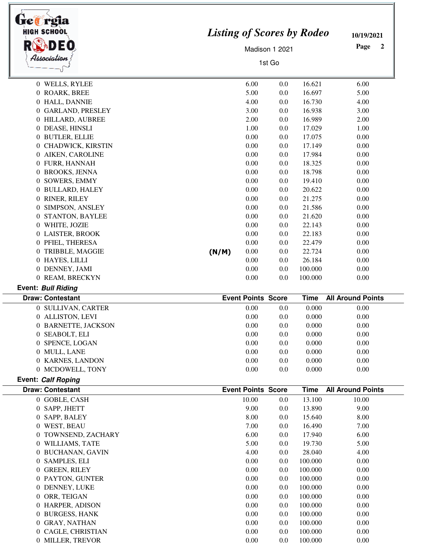| HIGH SCHOOL             | <b>Listing of Scores by Rodeo</b> | 10/19/2021                |        |             |                          |  |
|-------------------------|-----------------------------------|---------------------------|--------|-------------|--------------------------|--|
|                         |                                   | Page<br>$\mathbf{2}$      |        |             |                          |  |
| Association             |                                   |                           | 1st Go |             |                          |  |
|                         |                                   |                           |        |             |                          |  |
| 0 WELLS, RYLEE          |                                   | 6.00                      | 0.0    | 16.621      | 6.00                     |  |
| 0 ROARK, BREE           |                                   | 5.00                      | 0.0    | 16.697      | 5.00                     |  |
| 0 HALL, DANNIE          |                                   | 4.00                      | 0.0    | 16.730      | 4.00                     |  |
| 0 GARLAND, PRESLEY      |                                   | 3.00                      | 0.0    | 16.938      | 3.00                     |  |
| 0 HILLARD, AUBREE       |                                   | 2.00                      | 0.0    | 16.989      | 2.00                     |  |
| 0 DEASE, HINSLI         |                                   | 1.00                      | 0.0    | 17.029      | 1.00                     |  |
| 0 BUTLER, ELLIE         |                                   | 0.00                      | 0.0    | 17.075      | 0.00                     |  |
| 0 CHADWICK, KIRSTIN     |                                   | 0.00                      | 0.0    | 17.149      | 0.00                     |  |
| 0 AIKEN, CAROLINE       |                                   | 0.00                      | 0.0    | 17.984      | 0.00                     |  |
| 0 FURR, HANNAH          |                                   | 0.00                      | 0.0    | 18.325      | 0.00                     |  |
| 0 BROOKS, JENNA         |                                   | 0.00                      | 0.0    | 18.798      | 0.00                     |  |
| 0 SOWERS, EMMY          |                                   | 0.00                      | 0.0    | 19.410      | 0.00                     |  |
| 0 BULLARD, HALEY        |                                   | 0.00                      | 0.0    | 20.622      | 0.00                     |  |
| 0 RINER, RILEY          |                                   | 0.00                      | 0.0    | 21.275      | 0.00                     |  |
| 0 SIMPSON, ANSLEY       |                                   | 0.00                      | 0.0    | 21.586      | 0.00                     |  |
| 0 STANTON, BAYLEE       |                                   | 0.00                      | 0.0    | 21.620      | 0.00                     |  |
| 0 WHITE, JOZIE          |                                   | 0.00                      | 0.0    | 22.143      | 0.00                     |  |
| 0 LAISTER, BROOK        |                                   | 0.00                      | 0.0    | 22.183      | 0.00                     |  |
| 0 PFIEL, THERESA        |                                   | 0.00                      | 0.0    | 22.479      | 0.00                     |  |
| 0 TRIBBLE, MAGGIE       | (N/M)                             | 0.00                      | 0.0    | 22.724      | 0.00                     |  |
| 0 HAYES, LILLI          |                                   | 0.00                      | 0.0    | 26.184      | 0.00                     |  |
| 0 DENNEY, JAMI          |                                   | 0.00                      | 0.0    | 100.000     | 0.00                     |  |
| 0 REAM, BRECKYN         |                                   | 0.00                      | 0.0    | 100.000     | 0.00                     |  |
| Event: Bull Riding      |                                   |                           |        |             |                          |  |
| <b>Draw: Contestant</b> |                                   | <b>Event Points Score</b> |        | <b>Time</b> | <b>All Around Points</b> |  |
| 0 SULLIVAN, CARTER      |                                   | 0.00                      | 0.0    | 0.000       | 0.00                     |  |
| 0 ALLISTON, LEVI        |                                   | 0.00                      | 0.0    | 0.000       | 0.00                     |  |
| 0 BARNETTE, JACKSON     |                                   | 0.00                      | 0.0    | 0.000       | 0.00                     |  |
| 0 SEABOLT, ELI          |                                   | 0.00                      | 0.0    | 0.000       | 0.00                     |  |
| 0 SPENCE, LOGAN         |                                   | 0.00                      | 0.0    | 0.000       | 0.00                     |  |
| 0 MULL, LANE            |                                   | 0.00                      | 0.0    | 0.000       | 0.00                     |  |
| 0 KARNES, LANDON        |                                   | 0.00                      | 0.0    | 0.000       | 0.00                     |  |
| 0 MCDOWELL, TONY        |                                   | 0.00                      | 0.0    | 0.000       | 0.00                     |  |
| Event: Calf Roping      |                                   |                           |        |             |                          |  |
| <b>Draw: Contestant</b> |                                   | <b>Event Points Score</b> |        | <b>Time</b> | <b>All Around Points</b> |  |
| 0 GOBLE, CASH           |                                   | 10.00                     | 0.0    | 13.100      | 10.00                    |  |
| 0 SAPP, JHETT           |                                   | 9.00                      | 0.0    | 13.890      | 9.00                     |  |
| 0 SAPP, BALEY           |                                   | 8.00                      | 0.0    | 15.640      | 8.00                     |  |
| 0 WEST, BEAU            |                                   | 7.00                      | 0.0    | 16.490      | 7.00                     |  |
| 0 TOWNSEND, ZACHARY     |                                   | 6.00                      | 0.0    | 17.940      | 6.00                     |  |
| 0 WILLIAMS, TATE        |                                   | 5.00                      | 0.0    | 19.730      | 5.00                     |  |
| 0 BUCHANAN, GAVIN       |                                   | 4.00                      | 0.0    | 28.040      | 4.00                     |  |
| 0 SAMPLES, ELI          |                                   | 0.00                      | 0.0    | 100.000     | 0.00                     |  |
| 0 GREEN, RILEY          |                                   | 0.00                      | 0.0    | 100.000     | 0.00                     |  |
| 0 PAYTON, GUNTER        |                                   | 0.00                      | 0.0    | 100.000     | 0.00                     |  |
| 0 DENNEY, LUKE          |                                   | 0.00                      | 0.0    | 100.000     | 0.00                     |  |
| 0 ORR, TEIGAN           |                                   | 0.00                      | 0.0    | 100.000     | 0.00                     |  |
| 0 HARPER, ADISON        |                                   | 0.00                      | 0.0    | 100.000     | 0.00                     |  |
| 0 BURGESS, HANK         |                                   | 0.00                      | 0.0    | 100.000     | 0.00                     |  |
| 0 GRAY, NATHAN          |                                   | 0.00                      | 0.0    | 100.000     | 0.00                     |  |
| 0 CAGLE, CHRISTIAN      |                                   | 0.00                      | 0.0    | 100.000     | 0.00                     |  |
| 0 MILLER, TREVOR        |                                   | 0.00                      | 0.0    | 100.000     | 0.00                     |  |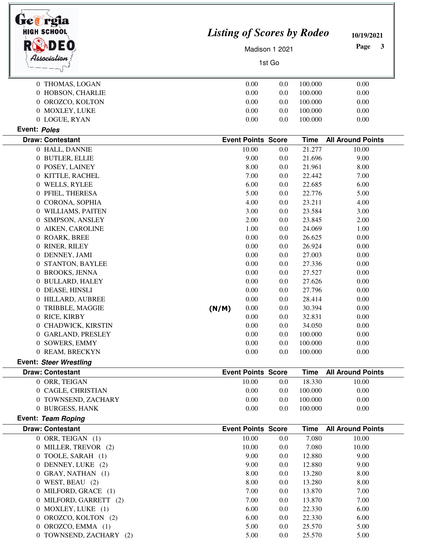| <b>HIGH SCHOOL</b><br>Association |       | <b>Listing of Scores by Rodeo</b><br>Madison 1 2021<br>1st Go |         |             |                          |
|-----------------------------------|-------|---------------------------------------------------------------|---------|-------------|--------------------------|
| 0 THOMAS, LOGAN                   |       | 0.00                                                          | 0.0     | 100.000     | 0.00                     |
| 0 HOBSON, CHARLIE                 |       | 0.00                                                          | 0.0     | 100.000     | 0.00                     |
| 0 OROZCO, KOLTON                  |       | 0.00                                                          | 0.0     | 100.000     | 0.00                     |
| 0 MOXLEY, LUKE                    |       | 0.00                                                          | 0.0     | 100.000     | 0.00                     |
| 0 LOGUE, RYAN                     |       | 0.00                                                          | 0.0     | 100.000     | 0.00                     |
| Event: Poles                      |       |                                                               |         |             |                          |
| <b>Draw: Contestant</b>           |       | <b>Event Points Score</b>                                     |         | <b>Time</b> | <b>All Around Points</b> |
| 0 HALL, DANNIE                    |       | 10.00                                                         | 0.0     | 21.277      | 10.00                    |
| 0 BUTLER, ELLIE                   |       | 9.00                                                          | 0.0     | 21.696      | 9.00                     |
| 0 POSEY, LAINEY                   |       | 8.00                                                          | 0.0     | 21.961      | 8.00                     |
| 0 KITTLE, RACHEL                  |       | 7.00                                                          | 0.0     | 22.442      | 7.00                     |
| 0 WELLS, RYLEE                    |       | 6.00                                                          | 0.0     | 22.685      | 6.00                     |
| 0 PFIEL, THERESA                  |       | 5.00                                                          | 0.0     | 22.776      | 5.00                     |
| 0 CORONA, SOPHIA                  |       | 4.00                                                          | 0.0     | 23.211      | 4.00                     |
| 0 WILLIAMS, PAITEN                |       | 3.00                                                          | 0.0     | 23.584      | 3.00                     |
| 0 SIMPSON, ANSLEY                 |       | 2.00                                                          | 0.0     | 23.845      | 2.00                     |
| 0 AIKEN, CAROLINE                 |       | 1.00                                                          | 0.0     | 24.069      | 1.00                     |
| 0 ROARK, BREE                     |       | 0.00                                                          | 0.0     | 26.625      | 0.00                     |
| 0 RINER, RILEY                    |       | 0.00                                                          | 0.0     | 26.924      | 0.00                     |
| 0 DENNEY, JAMI                    |       | 0.00                                                          | 0.0     | 27.003      | 0.00                     |
| 0 STANTON, BAYLEE                 |       | 0.00                                                          | 0.0     | 27.336      | 0.00                     |
| 0 BROOKS, JENNA                   |       | 0.00                                                          | 0.0     | 27.527      | 0.00                     |
| 0 BULLARD, HALEY                  |       | 0.00                                                          | 0.0     | 27.626      | 0.00                     |
| 0 DEASE, HINSLI                   |       | 0.00                                                          | 0.0     | 27.796      | 0.00                     |
| 0 HILLARD, AUBREE                 |       | 0.00                                                          | 0.0     | 28.414      | 0.00                     |
| 0 TRIBBLE, MAGGIE                 | (N/M) | 0.00                                                          | 0.0     | 30.394      | 0.00                     |
| 0 RICE, KIRBY                     |       | 0.00                                                          | 0.0     | 32.831      | 0.00                     |
| 0 CHADWICK, KIRSTIN               |       | 0.00                                                          | 0.0     | 34.050      | 0.00                     |
| 0 GARLAND, PRESLEY                |       | 0.00                                                          | 0.0     | 100.000     | 0.00                     |
| 0 SOWERS, EMMY                    |       | 0.00                                                          | 0.0     | 100.000     | 0.00                     |
| 0 REAM, BRECKYN                   |       | 0.00                                                          | 0.0     | 100.000     | 0.00                     |
| <b>Event: Steer Wrestling</b>     |       |                                                               |         |             |                          |
| <b>Draw: Contestant</b>           |       | <b>Event Points Score</b>                                     |         | <b>Time</b> | <b>All Around Points</b> |
| 0 ORR, TEIGAN                     |       | 10.00                                                         | 0.0     | 18.330      | 10.00                    |
| 0 CAGLE, CHRISTIAN                |       | 0.00                                                          | 0.0     | 100.000     | 0.00                     |
| 0 TOWNSEND, ZACHARY               |       | 0.00                                                          | 0.0     | 100.000     | 0.00                     |
| 0 BURGESS, HANK                   |       | 0.00                                                          | 0.0     | 100.000     | 0.00                     |
| Event: Team Roping                |       |                                                               |         |             |                          |
| <b>Draw: Contestant</b>           |       | <b>Event Points Score</b>                                     |         | <b>Time</b> | <b>All Around Points</b> |
| 0 ORR, TEIGAN (1)                 |       | 10.00                                                         | 0.0     | 7.080       | 10.00                    |
| 0 MILLER, TREVOR (2)              |       | 10.00                                                         | 0.0     | 7.080       | 10.00                    |
| 0 TOOLE, SARAH (1)                |       | 9.00                                                          | 0.0     | 12.880      | 9.00                     |
| 0 DENNEY, LUKE (2)                |       | 9.00                                                          | 0.0     | 12.880      | 9.00                     |
| 0 GRAY, NATHAN (1)                |       | 8.00                                                          | 0.0     | 13.280      | 8.00                     |
| $0$ WEST, BEAU $(2)$              |       | 8.00                                                          | 0.0     | 13.280      | 8.00                     |
| 0 MILFORD, GRACE (1)              |       | 7.00                                                          | 0.0     | 13.870      | 7.00                     |
| 0 MILFORD, GARRETT (2)            |       | 7.00                                                          | 0.0     | 13.870      | 7.00                     |
| 0 MOXLEY, LUKE (1)                |       | 6.00                                                          | 0.0     | 22.330      | 6.00                     |
| 0 OROZCO, KOLTON (2)              |       | 6.00                                                          | 0.0     | 22.330      | 6.00                     |
| 0 OROZCO, EMMA (1)                |       | 5.00                                                          | 0.0     | 25.570      | 5.00                     |
| 0 TOWNSEND, ZACHARY (2)           |       | 5.00                                                          | $0.0\,$ | 25.570      | 5.00                     |